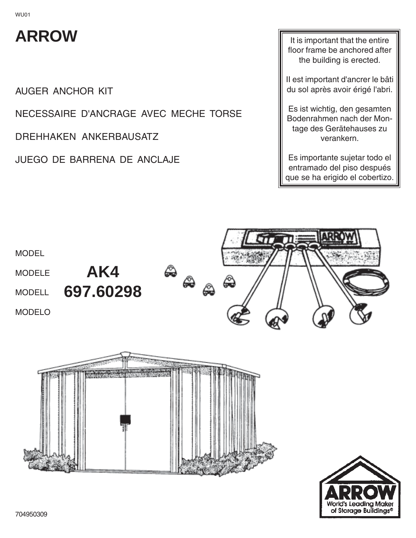## **ARROW**

AUGER ANCHOR KIT

NECESSAIRE D'ANCRAGE AVEC MECHE TORSE

DREHHAKEN ANKERBAUSATZ

JUEGO DE BARRENA DE ANCLAJE

It is important that the entire floor frame be anchored after the building is erected.

II est important d'ancrer le bâti du sol après avoir érigé l'abri.

Es ist wichtig, den gesamten Bodenrahmen nach der Montage des Gerätehauses zu verankern.

Es importante sujetar todo el entramado del piso después que se ha erigido el cobertizo.



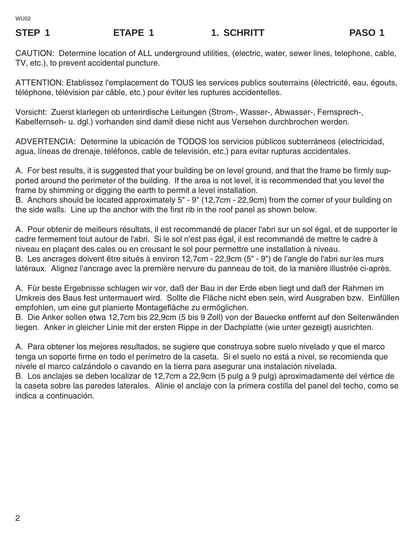## STEP 1 **ETAPE 1** 1. SCHRITT **PASO 1**

CAUTION: Determine location of ALL underground utilities, (electric, water, sewer lines, telephone, cable, TV, etc.), to prevent accidental puncture.

ATTENTION: Etablissez l'emplacement de TOUS les services publics souterrains (électricité, eau, égouts, téléphone, télévision par câble, etc.) pour éviter les ruptures accidentelles.

Vorsicht: Zuerst klarlegen ob unterirdische Leitungen (Strom-, Wasser-, Abwasser-, Fernsprech-, Kabelfernseh- u. dgl.) vorhanden sind damit diese nicht aus Versehen durchbrochen werden.

ADVERTENCIA: Determine la ubicación de TODOS los servicios públicos subterráneos (electricidad, agua, líneas de drenaje, teléfonos, cable de televisión, etc.) para evitar rupturas accidentales.

A. For best results, it is suggested that your building be on level ground, and that the frame be firmly supported around the perimeter of the building. If the area is not level, it is recommended that you level the frame by shimming or digging the earth to permit a level installation.

B. Anchors should be located approximately 5" - 9" (12,7cm - 22,9cm) from the corner of your building on the side walls. Line up the anchor with the first rib in the roof panel as shown below.

A. Pour obtenir de meilleurs résultats, il est recommandé de placer l'abri sur un sol égal, et de supporter le cadre fermement tout autour de l'abri. Si le sol n'est pas égal, il est recommandé de mettre le cadre à niveau en plaçant des cales ou en creusant le sol pour permettre une installation à niveau. B. Les ancrages doivent être situés à environ 12,7cm - 22,9cm (5" - 9") de l'angle de l'abri sur les murs latéraux. Alignez l'ancrage avec la première nervure du panneau de toit, de la manière illustrée ci-après.

A. Für beste Ergebnisse schlagen wir vor, daß der Bau in der Erde eben liegt und daß der Rahmen im Umkreis des Baus fest untermauert wird. Sollte die Fläche nicht eben sein, wird Ausgraben bzw. Einfüllen empfohlen, um eine gut planierte Montagefläche zu ermöglichen.

B. Die Anker sollen etwa 12,7cm bis 22,9cm (5 bis 9 Zoll) von der Bauecke entfernt auf den Seitenwänden liegen. Anker in gleicher Linie mit der ersten Rippe in der Dachplatte (wie unter gezeigt) ausrichten.

A. Para obtener los mejores resultados, se sugiere que construya sobre suelo nivelado y que el marco tenga un soporte firme en todo el perímetro de la caseta. Si el suelo no está a nivel, se recomienda que nivele el marco calzándolo o cavando en la tierra para asegurar una instalación nivelada.

B. Los anclajes se deben localizar de 12,7cm a 22,9cm (5 pulg a 9 pulg) aproximadamente del vértice de la caseta sobre las paredes laterales. Alinie el anclaje con la primera costilla del panel del techo, como se indica a continuación.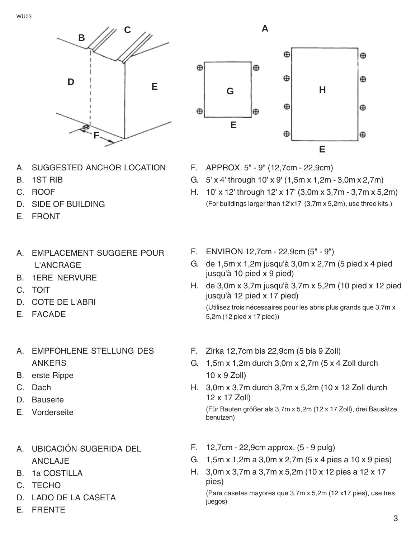

- A. SUGGESTED ANCHOR LOCATION
- B. 1ST RIB
- C. ROOF
- D. SIDE OF BUILDING
- E. FRONT
- A. EMPLACEMENT SUGGERE POUR L'ANCRAGE
- B. 1ERE NERVURE
- C. TOIT
- D. COTE DE L'ABRI
- E. FACADE
- A. EMPFOHLENE STELLUNG DES ANKERS
- B. erste Rippe
- C. Dach
- D. Bauseite
- E. Vorderseite
- A. UBICACIÓN SUGERIDA DEL ANCLAJE
- B. 1a COSTILLA
- C. TECHO
- D. LADO DE LA CASETA
- E. FRENTE



- F. APPROX. 5" 9" (12,7cm 22,9cm)
- G. 5' x 4' through 10' x 9' (1,5m x 1,2m 3,0m x 2,7m)
- H. 10' x 12' through 12' x 17' (3,0m x 3,7m 3,7m x 5,2m) (For buildings larger than 12'x17' (3,7m x 5,2m), use three kits.)
- F. ENVIRON 12,7cm 22,9cm (5" 9")
- G. de 1,5m x 1,2m jusqu'à 3,0m x 2,7m (5 pied x 4 pied jusqu'à 10 pied x 9 pied)
- H. de 3,0m x 3,7m jusqu'à 3,7m x 5,2m (10 pied x 12 pied jusqu'à 12 pied x 17 pied) (Utilisez trois nécessaires pour les abris plus grands que 3,7m x 5,2m (12 pied x 17 pied))
- F. Zirka 12,7cm bis 22,9cm (5 bis 9 Zoll)
- G. 1,5m x 1,2m durch 3,0m x 2,7m (5 x 4 Zoll durch 10 x 9 Zoll)
- H. 3,0m x 3,7m durch 3,7m x 5,2m (10 x 12 Zoll durch 12 x 17 Zoll)

(Für Bauten größer als 3,7m x 5,2m (12 x 17 Zoll), drei Bausätze benutzen)

- F. 12,7cm 22,9cm approx. (5 9 pulg)
- G. 1,5m x 1,2m a 3,0m x 2,7m (5 x 4 pies a 10 x 9 pies)
- H. 3,0m x 3,7m a 3,7m x 5,2m (10 x 12 pies a 12 x 17 pies)

(Para casetas mayores que 3,7m x 5,2m (12 x17 pies), use tres juegos)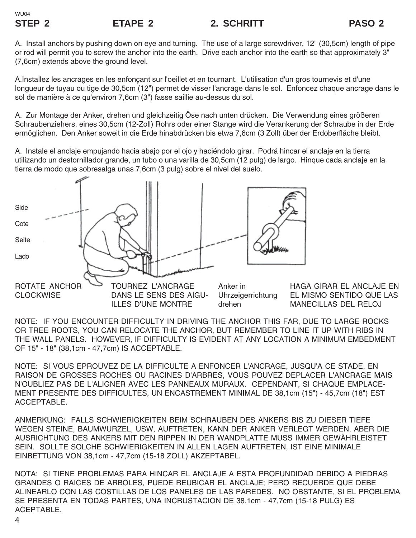A. Install anchors by pushing down on eye and turning. The use of a large screwdriver, 12" (30,5cm) length of pipe or rod will permit you to screw the anchor into the earth. Drive each anchor into the earth so that approximately 3" (7,6cm) extends above the ground level.

A.Installez les ancrages en les enfonçant sur l'oeillet et en tournant. L'utilisation d'un gros tournevis et d'une longueur de tuyau ou tige de 30,5cm (12") permet de visser l'ancrage dans le sol. Enfoncez chaque ancrage dans le sol de manière à ce qu'environ 7,6cm (3") fasse saillie au-dessus du sol.

A. Zur Montage der Anker, drehen und gleichzeitig Öse nach unten drücken. Die Verwendung eines größeren Schraubenziehers, eines 30,5cm (12-Zoll) Rohrs oder einer Stange wird die Verankerung der Schraube in der Erde ermöglichen. Den Anker soweit in die Erde hinabdrücken bis etwa 7,6cm (3 Zoll) über der Erdoberfläche bleibt.

A. Instale el anclaje empujando hacia abajo por el ojo y haciéndolo girar. Podrá hincar el anclaje en la tierra utilizando un destornillador grande, un tubo o una varilla de 30,5cm (12 pulg) de largo. Hinque cada anclaje en la tierra de modo que sobresalga unas 7,6cm (3 pulg) sobre el nivel del suelo.



ILLES D'UNE MONTRE

HAGA GIRAR EL ANCLAJE EN EL MISMO SENTIDO QUE LAS MANECILLAS DEL RELOJ

NOTE: IF YOU ENCOUNTER DIFFICULTY IN DRIVING THE ANCHOR THIS FAR, DUE TO LARGE ROCKS OR TREE ROOTS, YOU CAN RELOCATE THE ANCHOR, BUT REMEMBER TO LINE IT UP WITH RIBS IN THE WALL PANELS. HOWEVER, IF DIFFICULTY IS EVIDENT AT ANY LOCATION A MINIMUM EMBEDMENT OF 15" - 18" (38,1cm - 47,7cm) IS ACCEPTABLE.

drehen

NOTE: SI VOUS EPROUVEZ DE LA DIFFICULTE A ENFONCER L'ANCRAGE, JUSQU'A CE STADE, EN RAISON DE GROSSES ROCHES OU RACINES D'ARBRES, VOUS POUVEZ DEPLACER L'ANCRAGE MAIS N'OUBLIEZ PAS DE L'ALIGNER AVEC LES PANNEAUX MURAUX. CEPENDANT, SI CHAQUE EMPLACE-MENT PRESENTE DES DIFFICULTES, UN ENCASTREMENT MINIMAL DE 38,1cm (15") - 45,7cm (18") EST ACCEPTABLE.

ANMERKUNG: FALLS SCHWIERIGKEITEN BEIM SCHRAUBEN DES ANKERS BIS ZU DIESER TIEFE WEGEN STEINE, BAUMWURZEL, USW, AUFTRETEN, KANN DER ANKER VERLEGT WERDEN, ABER DIE AUSRICHTUNG DES ANKERS MIT DEN RIPPEN IN DER WANDPLATTE MUSS IMMER GEWÄHRLEISTET SEIN. SOLLTE SOLCHE SCHWIERIGKEITEN IN ALLEN LAGEN AUFTRETEN, IST EINE MINIMALE EINBETTUNG VON 38,1cm - 47,7cm (15-18 ZOLL) AKZEPTABEL.

NOTA: SI TIENE PROBLEMAS PARA HINCAR EL ANCLAJE A ESTA PROFUNDIDAD DEBIDO A PIEDRAS GRANDES O RAICES DE ARBOLES, PUEDE REUBICAR EL ANCLAJE; PERO RECUERDE QUE DEBE ALINEARLO CON LAS COSTILLAS DE LOS PANELES DE LAS PAREDES. NO OBSTANTE, SI EL PROBLEMA SE PRESENTA EN TODAS PARTES, UNA INCRUSTACION DE 38,1cm - 47,7cm (15-18 PULG) ES ACEPTABLE.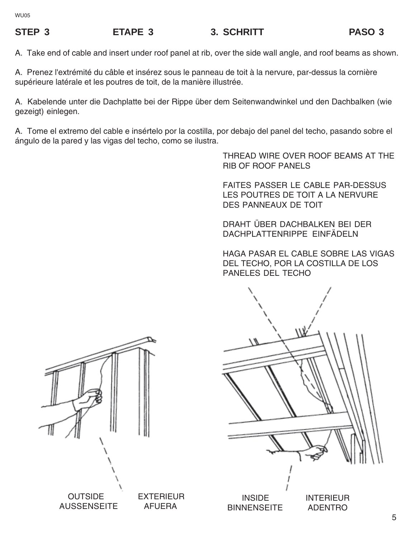## STEP 3 ETAPE 3 3. SCHRITT PASO 3

A. Take end of cable and insert under roof panel at rib, over the side wall angle, and roof beams as shown.

A. Prenez l'extrémité du câble et insérez sous le panneau de toit à la nervure, par-dessus la cornière supérieure latérale et les poutres de toit, de la manière illustrée.

A. Kabelende unter die Dachplatte bei der Rippe über dem Seitenwandwinkel und den Dachbalken (wie gezeigt) einlegen.

A. Tome el extremo del cable e insértelo por la costilla, por debajo del panel del techo, pasando sobre el ángulo de la pared y las vigas del techo, como se ilustra.

> THREAD WIRE OVER ROOF BEAMS AT THE RIB OF ROOF PANELS

FAITES PASSER LE CABLE PAR-DESSUS LES POUTRES DE TOIT A LA NERVURE DES PANNEAUX DE TOIT

DRAHT ÜBER DACHBALKEN BEI DER DACHPLATTENRIPPE EINFÄDELN

HAGA PASAR EL CABLE SOBRE LAS VIGAS DEL TECHO, POR LA COSTILLA DE LOS PANELES DEL TECHO



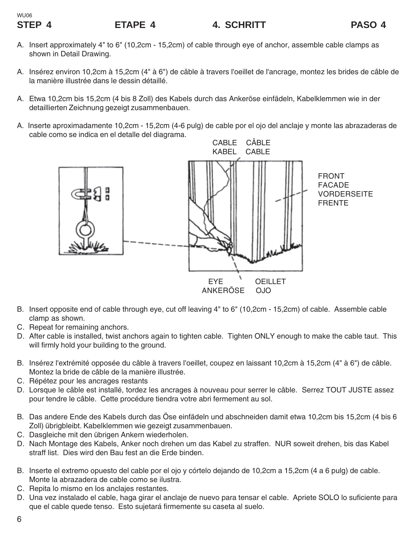## WU06

- A. Insert approximately 4" to 6" (10,2cm 15,2cm) of cable through eye of anchor, assemble cable clamps as shown in Detail Drawing.
- A. Insérez environ 10,2cm à 15,2cm (4" à 6") de câble à travers l'oeillet de l'ancrage, montez les brides de câble de la manière illustrée dans le dessin détaillé.
- A. Etwa 10,2cm bis 15,2cm (4 bis 8 Zoll) des Kabels durch das Ankeröse einfädeln, Kabelklemmen wie in der detaillierten Zeichnung gezeigt zusammenbauen.
- A. Inserte aproximadamente 10,2cm 15,2cm (4-6 pulg) de cable por el ojo del anclaje y monte las abrazaderas de cable como se indica en el detalle del diagrama.



- B. Insert opposite end of cable through eye, cut off leaving 4" to 6" (10,2cm 15,2cm) of cable. Assemble cable clamp as shown.
- C. Repeat for remaining anchors.
- D. After cable is installed, twist anchors again to tighten cable. Tighten ONLY enough to make the cable taut. This will firmly hold your building to the ground.
- B. Insérez l'extrémité opposée du câble à travers l'oeillet, coupez en laissant 10,2cm à 15,2cm (4" à 6") de câble. Montez la bride de câble de la manière illustrée.
- C. Répétez pour les ancrages restants
- D. Lorsque le câble est installé, tordez les ancrages à nouveau pour serrer le câble. Serrez TOUT JUSTE assez pour tendre le câble. Cette procédure tiendra votre abri fermement au sol.
- B. Das andere Ende des Kabels durch das Öse einfädeln und abschneiden damit etwa 10,2cm bis 15,2cm (4 bis 6 Zoll) übrigbleibt. Kabelklemmen wie gezeigt zusammenbauen.
- C. Dasgleiche mit den übrigen Ankern wiederholen.
- D. Nach Montage des Kabels, Anker noch drehen um das Kabel zu straffen. NUR soweit drehen, bis das Kabel straff list. Dies wird den Bau fest an die Erde binden.
- B. Inserte el extremo opuesto del cable por el ojo y córtelo dejando de 10,2cm a 15,2cm (4 a 6 pulg) de cable. Monte la abrazadera de cable como se ilustra.
- C. Repita lo mismo en los anclajes restantes.
- D. Una vez instalado el cable, haga girar el anclaje de nuevo para tensar el cable. Apriete SOLO lo suficiente para que el cable quede tenso. Esto sujetará firmemente su caseta al suelo.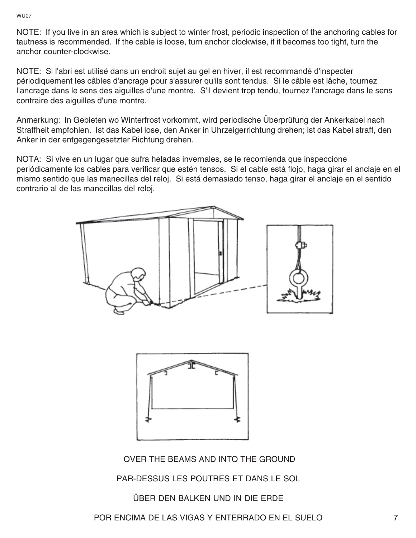WU07

NOTE: If you live in an area which is subject to winter frost, periodic inspection of the anchoring cables for tautness is recommended. If the cable is loose, turn anchor clockwise, if it becomes too tight, turn the anchor counter-clockwise.

NOTE: Si l'abri est utilisé dans un endroit sujet au gel en hiver, il est recommandé d'inspecter périodiquement les câbles d'ancrage pour s'assurer qu'ils sont tendus. Si le câble est lâche, tournez l'ancrage dans le sens des aiguilles d'une montre. S'il devient trop tendu, tournez l'ancrage dans le sens contraire des aiguilles d'une montre.

Anmerkung: In Gebieten wo Winterfrost vorkommt, wird periodische Überprüfung der Ankerkabel nach Straffheit empfohlen. Ist das Kabel lose, den Anker in Uhrzeigerrichtung drehen; ist das Kabel straff, den Anker in der entgegengesetzter Richtung drehen.

NOTA: Si vive en un lugar que sufra heladas invernales, se le recomienda que inspeccione periódicamente los cables para verificar que estén tensos. Si el cable está flojo, haga girar el anclaje en el mismo sentido que las manecillas del reloj. Si está demasiado tenso, haga girar el anclaje en el sentido contrario al de las manecillas del reloj.





OVER THE BEAMS AND INTO THE GROUND

PAR-DESSUS LES POUTRES ET DANS LE SOL

ÜBER DEN BALKEN UND IN DIE ERDE

POR ENCIMA DE LAS VIGAS Y ENTERRADO EN EL SUELO